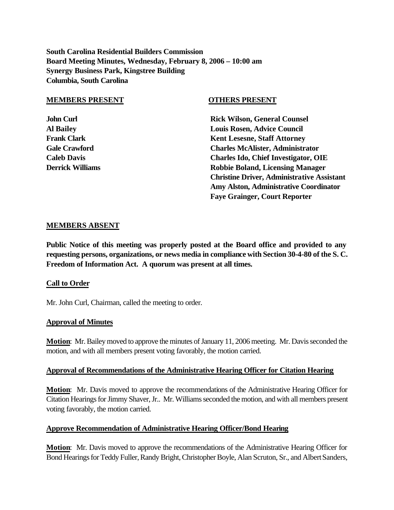**South Carolina Residential Builders Commission Board Meeting Minutes, Wednesday, February 8, 2006 – 10:00 am Synergy Business Park, Kingstree Building Columbia, South Carolina**

#### **MEMBERS PRESENT OTHERS PRESENT**

**John Curl Counsel Counsel Counsel Rick Wilson, General Counsel Al Bailey Louis Rosen, Advice Council Frank Clark Clark Clark Clark Clark Clark Clark Clark Clark Clark Clark Clark Clark Clark Clark Clark Clark Clark Clark Clark Clark Clark Clark Clark Clark Clark Clark Clark Clark Clark Clark Clark Clark Clark Clark Clark Gale Crawford Charles McAlister, Administrator Caleb Davis Charles Ido, Chief Investigator, OIE Derrick Williams Robbie Boland, Licensing Manager Christine Driver, Administrative Assistant Amy Alston, Administrative Coordinator Faye Grainger, Court Reporter**

## **MEMBERS ABSENT**

**Public Notice of this meeting was properly posted at the Board office and provided to any requesting persons, organizations, or news media in compliance with Section 30-4-80 of the S. C. Freedom of Information Act. A quorum was present at all times.**

## **Call to Order**

Mr. John Curl, Chairman, called the meeting to order.

## **Approval of Minutes**

**Motion**: Mr. Bailey moved to approve the minutes of January 11, 2006 meeting. Mr. Davis seconded the motion, and with all members present voting favorably, the motion carried.

## **Approval of Recommendations of the Administrative Hearing Officer for Citation Hearing**

**Motion**: Mr. Davis moved to approve the recommendations of the Administrative Hearing Officer for Citation Hearings for Jimmy Shaver, Jr.. Mr. Williams seconded the motion, and with all members present voting favorably, the motion carried.

# **Approve Recommendation of Administrative Hearing Officer/Bond Hearing**

**Motion**: Mr. Davis moved to approve the recommendations of the Administrative Hearing Officer for Bond Hearings for Teddy Fuller, Randy Bright, Christopher Boyle, Alan Scruton, Sr., and Albert Sanders,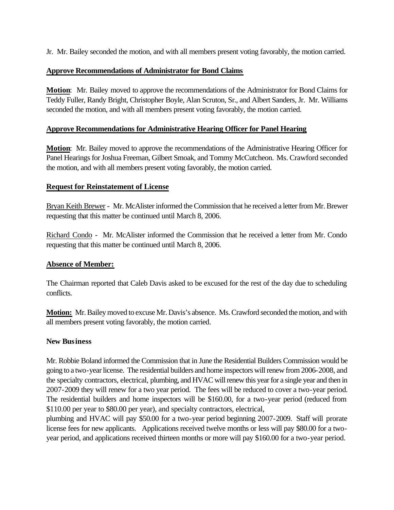Jr. Mr. Bailey seconded the motion, and with all members present voting favorably, the motion carried.

## **Approve Recommendations of Administrator for Bond Claims**

**Motion**: Mr. Bailey moved to approve the recommendations of the Administrator for Bond Claims for Teddy Fuller, Randy Bright, Christopher Boyle, Alan Scruton, Sr., and Albert Sanders, Jr. Mr. Williams seconded the motion, and with all members present voting favorably, the motion carried.

## **Approve Recommendations for Administrative Hearing Officer for Panel Hearing**

**Motion**: Mr. Bailey moved to approve the recommendations of the Administrative Hearing Officer for Panel Hearings for Joshua Freeman, Gilbert Smoak, and Tommy McCutcheon. Ms. Crawford seconded the motion, and with all members present voting favorably, the motion carried.

## **Request for Reinstatement of License**

Bryan Keith Brewer - Mr. McAlister informed the Commission that he received a letter from Mr. Brewer requesting that this matter be continued until March 8, 2006.

Richard Condo - Mr. McAlister informed the Commission that he received a letter from Mr. Condo requesting that this matter be continued until March 8, 2006.

# **Absence of Member:**

The Chairman reported that Caleb Davis asked to be excused for the rest of the day due to scheduling conflicts.

**Motion:** Mr. Bailey moved to excuse Mr. Davis's absence. Ms. Crawford seconded the motion, and with all members present voting favorably, the motion carried.

## **New Business**

Mr. Robbie Boland informed the Commission that in June the Residential Builders Commission would be going to a two-year license. The residential builders and home inspectors will renew from 2006-2008, and the specialty contractors, electrical, plumbing, and HVAC will renew this year for a single year and then in 2007-2009 they will renew for a two year period. The fees will be reduced to cover a two-year period. The residential builders and home inspectors will be \$160.00, for a two-year period (reduced from \$110.00 per year to \$80.00 per year), and specialty contractors, electrical,

plumbing and HVAC will pay \$50.00 for a two-year period beginning 2007-2009. Staff will prorate license fees for new applicants. Applications received twelve months or less will pay \$80.00 for a twoyear period, and applications received thirteen months or more will pay \$160.00 for a two-year period.